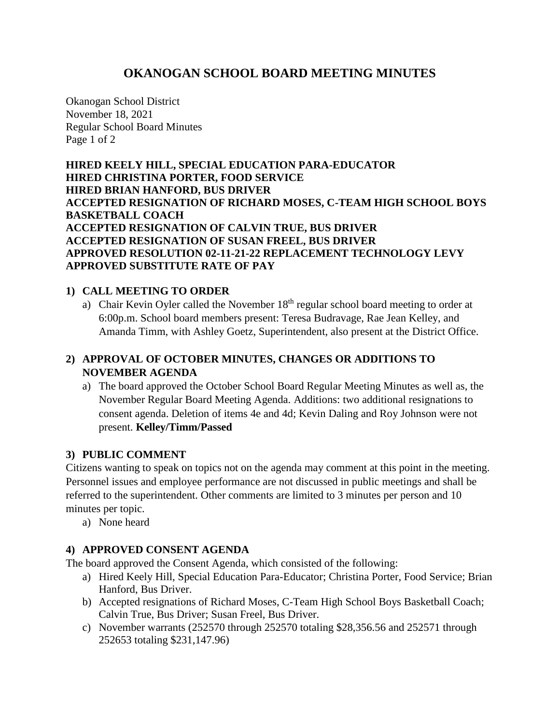# **OKANOGAN SCHOOL BOARD MEETING MINUTES**

Okanogan School District November 18, 2021 Regular School Board Minutes Page 1 of 2

**HIRED KEELY HILL, SPECIAL EDUCATION PARA-EDUCATOR HIRED CHRISTINA PORTER, FOOD SERVICE HIRED BRIAN HANFORD, BUS DRIVER ACCEPTED RESIGNATION OF RICHARD MOSES, C-TEAM HIGH SCHOOL BOYS BASKETBALL COACH ACCEPTED RESIGNATION OF CALVIN TRUE, BUS DRIVER ACCEPTED RESIGNATION OF SUSAN FREEL, BUS DRIVER APPROVED RESOLUTION 02-11-21-22 REPLACEMENT TECHNOLOGY LEVY APPROVED SUBSTITUTE RATE OF PAY**

## **1) CALL MEETING TO ORDER**

a) Chair Kevin Oyler called the November  $18<sup>th</sup>$  regular school board meeting to order at 6:00p.m. School board members present: Teresa Budravage, Rae Jean Kelley, and Amanda Timm, with Ashley Goetz, Superintendent, also present at the District Office.

## **2) APPROVAL OF OCTOBER MINUTES, CHANGES OR ADDITIONS TO NOVEMBER AGENDA**

a) The board approved the October School Board Regular Meeting Minutes as well as, the November Regular Board Meeting Agenda. Additions: two additional resignations to consent agenda. Deletion of items 4e and 4d; Kevin Daling and Roy Johnson were not present. **Kelley/Timm/Passed**

## **3) PUBLIC COMMENT**

Citizens wanting to speak on topics not on the agenda may comment at this point in the meeting. Personnel issues and employee performance are not discussed in public meetings and shall be referred to the superintendent. Other comments are limited to 3 minutes per person and 10 minutes per topic.

a) None heard

## **4) APPROVED CONSENT AGENDA**

The board approved the Consent Agenda, which consisted of the following:

- a) Hired Keely Hill, Special Education Para-Educator; Christina Porter, Food Service; Brian Hanford, Bus Driver.
- b) Accepted resignations of Richard Moses, C-Team High School Boys Basketball Coach; Calvin True, Bus Driver; Susan Freel, Bus Driver.
- c) November warrants (252570 through 252570 totaling \$28,356.56 and 252571 through 252653 totaling \$231,147.96)